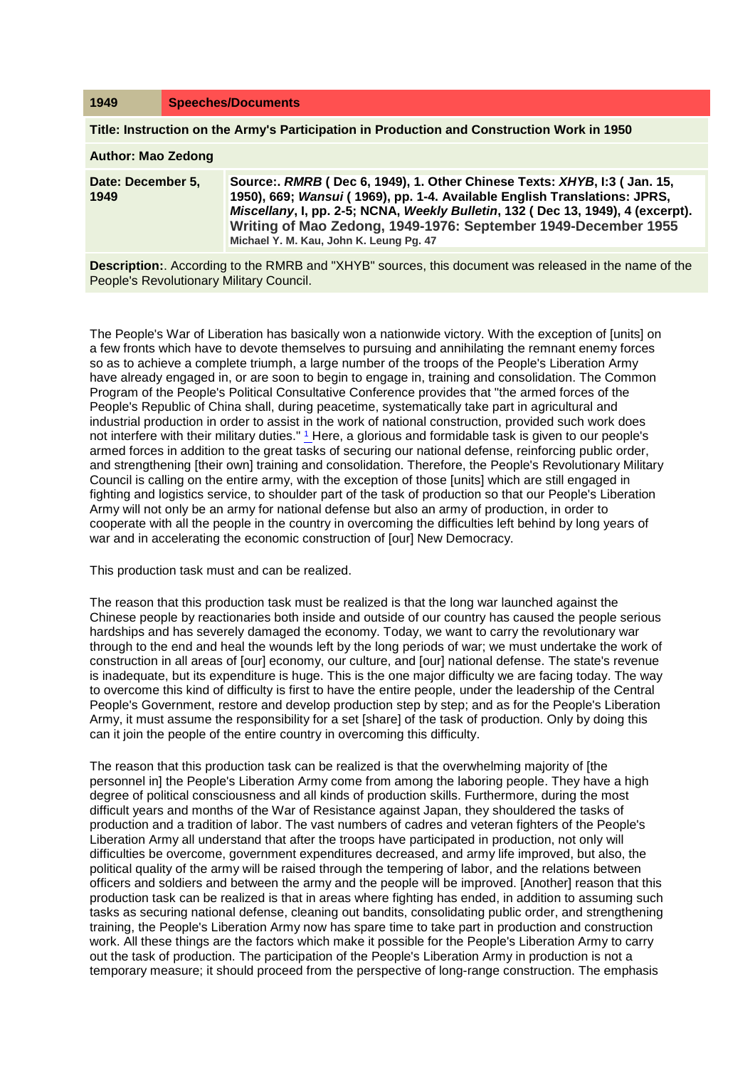| 1949                                                                                                                                                     |  | <b>Speeches/Documents</b>                                                                                                                                                                                                                                                                                                                              |  |
|----------------------------------------------------------------------------------------------------------------------------------------------------------|--|--------------------------------------------------------------------------------------------------------------------------------------------------------------------------------------------------------------------------------------------------------------------------------------------------------------------------------------------------------|--|
| Title: Instruction on the Army's Participation in Production and Construction Work in 1950                                                               |  |                                                                                                                                                                                                                                                                                                                                                        |  |
| <b>Author: Mao Zedong</b>                                                                                                                                |  |                                                                                                                                                                                                                                                                                                                                                        |  |
| Date: December 5,<br>1949                                                                                                                                |  | Source:. RMRB (Dec 6, 1949), 1. Other Chinese Texts: XHYB, I:3 ( Jan. 15,<br>1950), 669; Wansui (1969), pp. 1-4. Available English Translations: JPRS,<br>Miscellany, I, pp. 2-5; NCNA, Weekly Bulletin, 132 (Dec 13, 1949), 4 (excerpt).<br>Writing of Mao Zedong, 1949-1976: September 1949-December 1955<br>Michael Y. M. Kau, John K. Leung Pg. 47 |  |
| <b>Description:.</b> According to the RMRB and "XHYB" sources, this document was released in the name of the<br>People's Revolutionary Military Council. |  |                                                                                                                                                                                                                                                                                                                                                        |  |

The People's War of Liberation has basically won a nationwide victory. With the exception of [units] on a few fronts which have to devote themselves to pursuing and annihilating the remnant enemy forces so as to achieve a complete triumph, a large number of the troops of the People's Liberation Army have already engaged in, or are soon to begin to engage in, training and consolidation. The Common Program of the People's Political Consultative Conference provides that "the armed forces of the People's Republic of China shall, during peacetime, systematically take part in agricultural and industrial production in order to assist in the work of national construction, provided such work does not interfere with their military duties." <sup>1</sup> Here, a glorious and formidable task is given to our people's armed forces in addition to the great tasks of securing our national defense, reinforcing public order, and strengthening [their own] training and consolidation. Therefore, the People's Revolutionary Military Council is calling on the entire army, with the exception of those [units] which are still engaged in fighting and logistics service, to shoulder part of the task of production so that our People's Liberation Army will not only be an army for national defense but also an army of production, in order to cooperate with all the people in the country in overcoming the difficulties left behind by long years of war and in accelerating the economic construction of [our] New Democracy.

This production task must and can be realized.

The reason that this production task must be realized is that the long war launched against the Chinese people by reactionaries both inside and outside of our country has caused the people serious hardships and has severely damaged the economy. Today, we want to carry the revolutionary war through to the end and heal the wounds left by the long periods of war; we must undertake the work of construction in all areas of [our] economy, our culture, and [our] national defense. The state's revenue is inadequate, but its expenditure is huge. This is the one major difficulty we are facing today. The way to overcome this kind of difficulty is first to have the entire people, under the leadership of the Central People's Government, restore and develop production step by step; and as for the People's Liberation Army, it must assume the responsibility for a set [share] of the task of production. Only by doing this can it join the people of the entire country in overcoming this difficulty.

The reason that this production task can be realized is that the overwhelming majority of [the personnel in] the People's Liberation Army come from among the laboring people. They have a high degree of political consciousness and all kinds of production skills. Furthermore, during the most difficult years and months of the War of Resistance against Japan, they shouldered the tasks of production and a tradition of labor. The vast numbers of cadres and veteran fighters of the People's Liberation Army all understand that after the troops have participated in production, not only will difficulties be overcome, government expenditures decreased, and army life improved, but also, the political quality of the army will be raised through the tempering of labor, and the relations between officers and soldiers and between the army and the people will be improved. [Another] reason that this production task can be realized is that in areas where fighting has ended, in addition to assuming such tasks as securing national defense, cleaning out bandits, consolidating public order, and strengthening training, the People's Liberation Army now has spare time to take part in production and construction work. All these things are the factors which make it possible for the People's Liberation Army to carry out the task of production. The participation of the People's Liberation Army in production is not a temporary measure; it should proceed from the perspective of long-range construction. The emphasis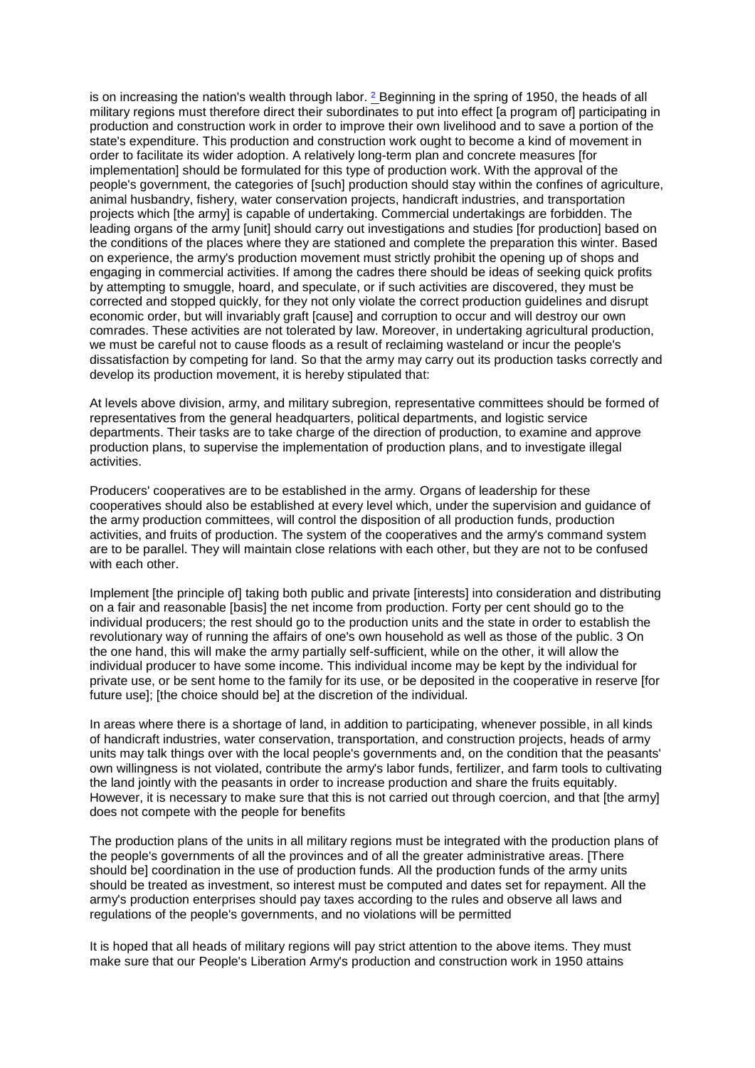is on increasing the nation's wealth through labor.  $2$  Beginning in the spring of 1950, the heads of all military regions must therefore direct their subordinates to put into effect [a program of] participating in production and construction work in order to improve their own livelihood and to save a portion of the state's expenditure. This production and construction work ought to become a kind of movement in order to facilitate its wider adoption. A relatively long-term plan and concrete measures [for implementation] should be formulated for this type of production work. With the approval of the people's government, the categories of [such] production should stay within the confines of agriculture, animal husbandry, fishery, water conservation projects, handicraft industries, and transportation projects which [the army] is capable of undertaking. Commercial undertakings are forbidden. The leading organs of the army [unit] should carry out investigations and studies [for production] based on the conditions of the places where they are stationed and complete the preparation this winter. Based on experience, the army's production movement must strictly prohibit the opening up of shops and engaging in commercial activities. If among the cadres there should be ideas of seeking quick profits by attempting to smuggle, hoard, and speculate, or if such activities are discovered, they must be corrected and stopped quickly, for they not only violate the correct production guidelines and disrupt economic order, but will invariably graft [cause] and corruption to occur and will destroy our own comrades. These activities are not tolerated by law. Moreover, in undertaking agricultural production, we must be careful not to cause floods as a result of reclaiming wasteland or incur the people's dissatisfaction by competing for land. So that the army may carry out its production tasks correctly and develop its production movement, it is hereby stipulated that:

At levels above division, army, and military subregion, representative committees should be formed of representatives from the general headquarters, political departments, and logistic service departments. Their tasks are to take charge of the direction of production, to examine and approve production plans, to supervise the implementation of production plans, and to investigate illegal activities.

Producers' cooperatives are to be established in the army. Organs of leadership for these cooperatives should also be established at every level which, under the supervision and guidance of the army production committees, will control the disposition of all production funds, production activities, and fruits of production. The system of the cooperatives and the army's command system are to be parallel. They will maintain close relations with each other, but they are not to be confused with each other.

Implement [the principle of] taking both public and private [interests] into consideration and distributing on a fair and reasonable [basis] the net income from production. Forty per cent should go to the individual producers; the rest should go to the production units and the state in order to establish the revolutionary way of running the affairs of one's own household as well as those of the public. 3 On the one hand, this will make the army partially self-sufficient, while on the other, it will allow the individual producer to have some income. This individual income may be kept by the individual for private use, or be sent home to the family for its use, or be deposited in the cooperative in reserve [for future use]; [the choice should be] at the discretion of the individual.

In areas where there is a shortage of land, in addition to participating, whenever possible, in all kinds of handicraft industries, water conservation, transportation, and construction projects, heads of army units may talk things over with the local people's governments and, on the condition that the peasants' own willingness is not violated, contribute the army's labor funds, fertilizer, and farm tools to cultivating the land jointly with the peasants in order to increase production and share the fruits equitably. However, it is necessary to make sure that this is not carried out through coercion, and that [the army] does not compete with the people for benefits

The production plans of the units in all military regions must be integrated with the production plans of the people's governments of all the provinces and of all the greater administrative areas. [There should be] coordination in the use of production funds. All the production funds of the army units should be treated as investment, so interest must be computed and dates set for repayment. All the army's production enterprises should pay taxes according to the rules and observe all laws and regulations of the people's governments, and no violations will be permitted

It is hoped that all heads of military regions will pay strict attention to the above items. They must make sure that our People's Liberation Army's production and construction work in 1950 attains